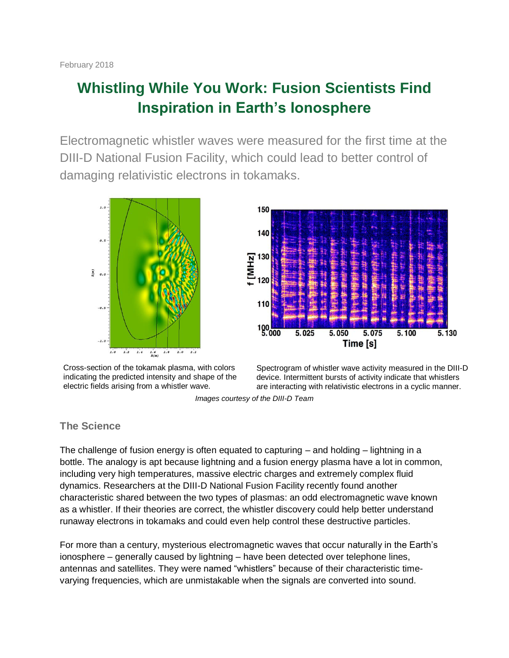# **Whistling While You Work: Fusion Scientists Find Inspiration in Earth's Ionosphere**

Electromagnetic whistler waves were measured for the first time at the DIII-D National Fusion Facility, which could lead to better control of damaging relativistic electrons in tokamaks.





Cross-section of the tokamak plasma, with colors indicating the predicted intensity and shape of the electric fields arising from a whistler wave.



*Images courtesy of the DIII-D Team*

## **The Science**

The challenge of fusion energy is often equated to capturing  $-$  and holding  $-$  lightning in a bottle. The analogy is apt because lightning and a fusion energy plasma have a lot in common, including very high temperatures, massive electric charges and extremely complex fluid dynamics. Researchers at the DIII-D National Fusion Facility recently found another characteristic shared between the two types of plasmas: an odd electromagnetic wave known as a whistler. If their theories are correct, the whistler discovery could help better understand runaway electrons in tokamaks and could even help control these destructive particles.

For more than a century, mysterious electromagnetic waves that occur naturally in the Earth's ionosphere – generally caused by lightning – have been detected over telephone lines, antennas and satellites. They were named "whistlers" because of their characteristic timevarying frequencies, which are unmistakable when the signals are converted into sound.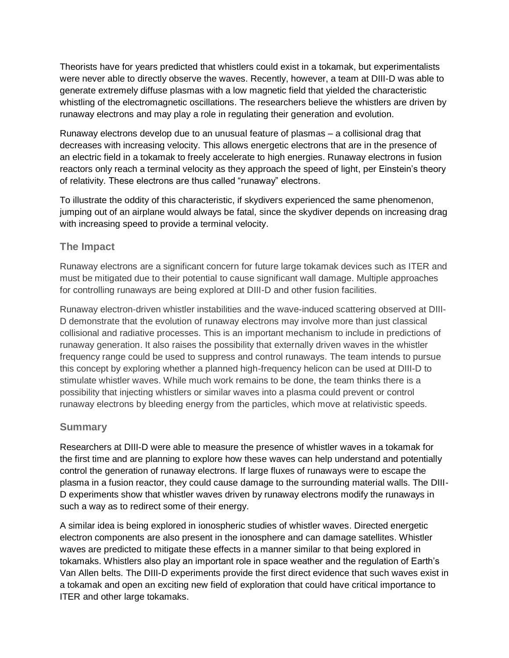Theorists have for years predicted that whistlers could exist in a tokamak, but experimentalists were never able to directly observe the waves. Recently, however, a team at DIII-D was able to generate extremely diffuse plasmas with a low magnetic field that yielded the characteristic whistling of the electromagnetic oscillations. The researchers believe the whistlers are driven by runaway electrons and may play a role in regulating their generation and evolution.

Runaway electrons develop due to an unusual feature of plasmas – a collisional drag that decreases with increasing velocity. This allows energetic electrons that are in the presence of an electric field in a tokamak to freely accelerate to high energies. Runaway electrons in fusion reactors only reach a terminal velocity as they approach the speed of light, per Einstein's theory of relativity. These electrons are thus called "runaway" electrons.

To illustrate the oddity of this characteristic, if skydivers experienced the same phenomenon, jumping out of an airplane would always be fatal, since the skydiver depends on increasing drag with increasing speed to provide a terminal velocity.

## **The Impact**

Runaway electrons are a significant concern for future large tokamak devices such as ITER and must be mitigated due to their potential to cause significant wall damage. Multiple approaches for controlling runaways are being explored at DIII-D and other fusion facilities.

Runaway electron-driven whistler instabilities and the wave-induced scattering observed at DIII-D demonstrate that the evolution of runaway electrons may involve more than just classical collisional and radiative processes. This is an important mechanism to include in predictions of runaway generation. It also raises the possibility that externally driven waves in the whistler frequency range could be used to suppress and control runaways. The team intends to pursue this concept by exploring whether a planned high-frequency helicon can be used at DIII-D to stimulate whistler waves. While much work remains to be done, the team thinks there is a possibility that injecting whistlers or similar waves into a plasma could prevent or control runaway electrons by bleeding energy from the particles, which move at relativistic speeds.

#### **Summary**

Researchers at DIII-D were able to measure the presence of whistler waves in a tokamak for the first time and are planning to explore how these waves can help understand and potentially control the generation of runaway electrons. If large fluxes of runaways were to escape the plasma in a fusion reactor, they could cause damage to the surrounding material walls. The DIII-D experiments show that whistler waves driven by runaway electrons modify the runaways in such a way as to redirect some of their energy.

A similar idea is being explored in ionospheric studies of whistler waves. Directed energetic electron components are also present in the ionosphere and can damage satellites. Whistler waves are predicted to mitigate these effects in a manner similar to that being explored in tokamaks. Whistlers also play an important role in space weather and the regulation of Earth's Van Allen belts. The DIII-D experiments provide the first direct evidence that such waves exist in a tokamak and open an exciting new field of exploration that could have critical importance to ITER and other large tokamaks.